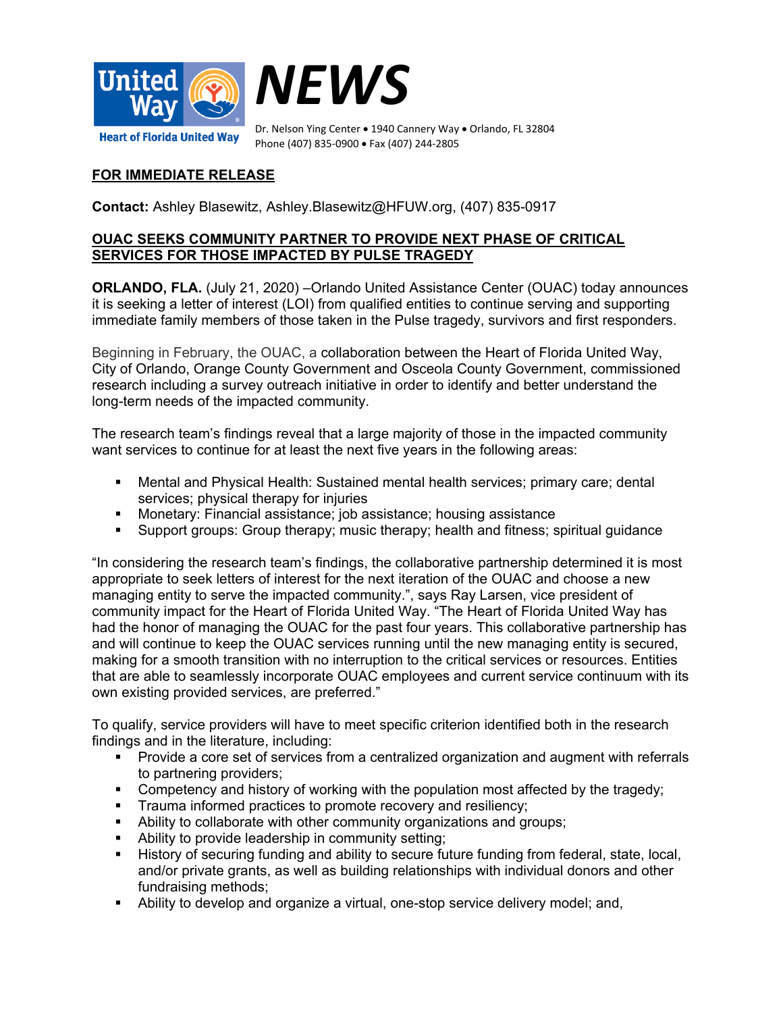



Dr. Nelson Ying Center • 1940 Cannery Way • Orlando, FL 32804 Phone (407) 835-0900 • Fax (407) 244-2805

## **FOR IMMEDIATE RELEASE**

**Contact:** Ashley Blasewitz, Ashley.Blasewitz@HFUW.org, (407) 835-0917

## **OUAC SEEKS COMMUNITY PARTNER TO PROVIDE NEXT PHASE OF CRITICAL SERVICES FOR THOSE IMPACTED BY PULSE TRAGEDY**

**ORLANDO, FLA.** (July 21, 2020) –Orlando United Assistance Center (OUAC) today announces it is seeking a letter of interest (LOI) from qualified entities to continue serving and supporting immediate family members of those taken in the Pulse tragedy, survivors and first responders.

Beginning in February, the OUAC, a collaboration between the Heart of Florida United Way, City of Orlando, Orange County Government and Osceola County Government, commissioned research including a survey outreach initiative in order to identify and better understand the long-term needs of the impacted community.

The research team's findings reveal that a large majority of those in the impacted community want services to continue for at least the next five years in the following areas:

- Mental and Physical Health: Sustained mental health services; primary care; dental services; physical therapy for injuries
- Monetary: Financial assistance; job assistance; housing assistance
- Support groups: Group therapy; music therapy; health and fitness; spiritual guidance

"In considering the research team's findings, the collaborative partnership determined it is most appropriate to seek letters of interest for the next iteration of the OUAC and choose a new managing entity to serve the impacted community.", says Ray Larsen, vice president of community impact for the Heart of Florida United Way. "The Heart of Florida United Way has had the honor of managing the OUAC for the past four years. This collaborative partnership has and will continue to keep the OUAC services running until the new managing entity is secured, making for a smooth transition with no interruption to the critical services or resources. Entities that are able to seamlessly incorporate OUAC employees and current service continuum with its own existing provided services, are preferred."

To qualify, service providers will have to meet specific criterion identified both in the research findings and in the literature, including:

- Provide a core set of services from a centralized organization and augment with referrals to partnering providers;
- Competency and history of working with the population most affected by the tragedy;
- **Trauma informed practices to promote recovery and resiliency;**
- Ability to collaborate with other community organizations and groups;
- Ability to provide leadership in community setting;
- History of securing funding and ability to secure future funding from federal, state, local, and/or private grants, as well as building relationships with individual donors and other fundraising methods;
- Ability to develop and organize a virtual, one-stop service delivery model; and,